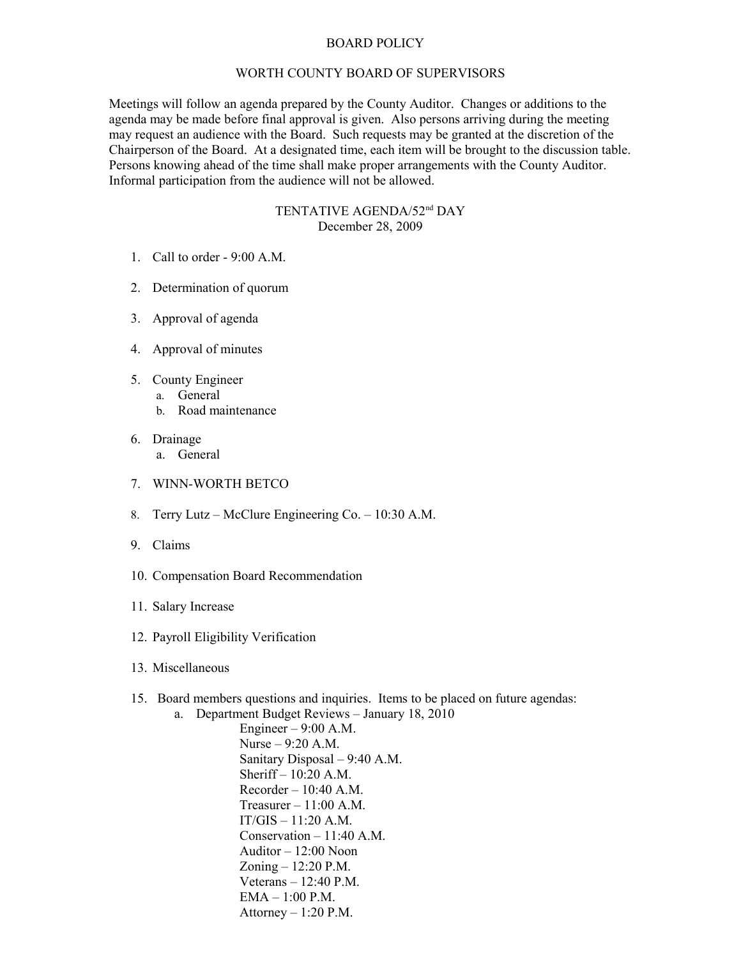## BOARD POLICY

## WORTH COUNTY BOARD OF SUPERVISORS

Meetings will follow an agenda prepared by the County Auditor. Changes or additions to the agenda may be made before final approval is given. Also persons arriving during the meeting may request an audience with the Board. Such requests may be granted at the discretion of the Chairperson of the Board. At a designated time, each item will be brought to the discussion table. Persons knowing ahead of the time shall make proper arrangements with the County Auditor. Informal participation from the audience will not be allowed.

## TENTATIVE AGENDA/52nd DAY December 28, 2009

- 1. Call to order 9:00 A.M.
- 2. Determination of quorum
- 3. Approval of agenda
- 4. Approval of minutes
- 5. County Engineer
	- a. General
		- b. Road maintenance
- 6. Drainage
	- a. General
- 7. WINN-WORTH BETCO
- 8. Terry Lutz McClure Engineering Co. 10:30 A.M.
- 9. Claims
- 10. Compensation Board Recommendation
- 11. Salary Increase
- 12. Payroll Eligibility Verification
- 13. Miscellaneous
- 15. Board members questions and inquiries. Items to be placed on future agendas:

a. Department Budget Reviews – January 18, 2010 Engineer  $-9:00$  A.M. Nurse – 9:20 A.M. Sanitary Disposal – 9:40 A.M. Sheriff – 10:20 A.M. Recorder  $-10:40$  A.M. Treasurer  $-11:00$  A.M.  $IT/GIS - 11:20 A.M.$ Conservation  $-11:40$  A.M. Auditor – 12:00 Noon Zoning – 12:20 P.M. Veterans – 12:40 P.M. EMA – 1:00 P.M. Attorney  $-1:20$  P.M.